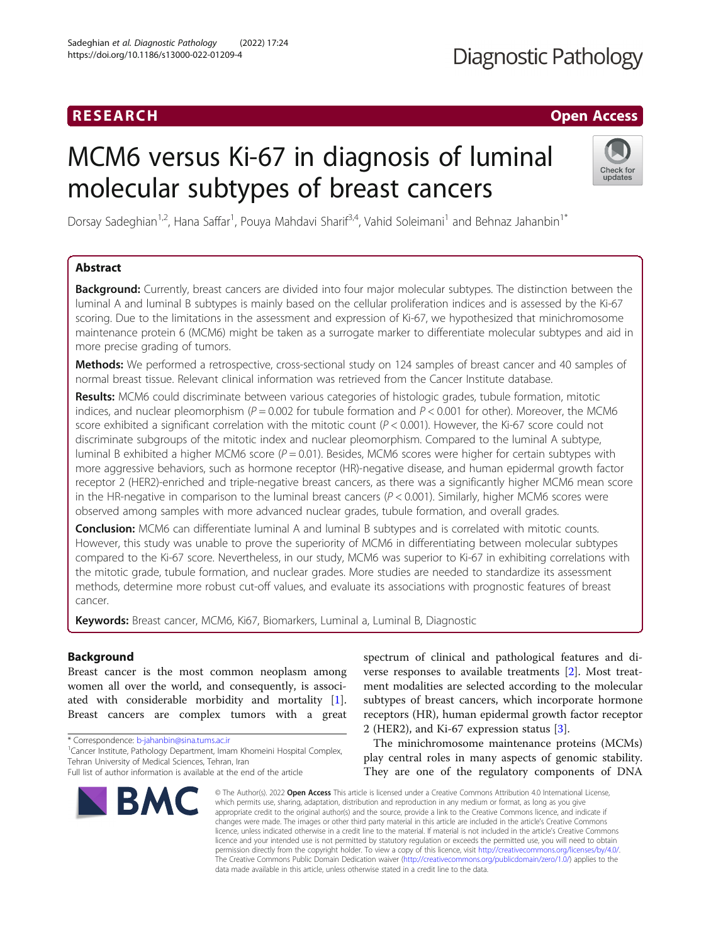### RESEARCH **RESEARCH CHOOSE ACCESS**

## MCM6 versus Ki-67 in diagnosis of luminal molecular subtypes of breast cancers

Dorsay Sadeghian<sup>1,2</sup>, Hana Saffar<sup>1</sup>, Pouya Mahdavi Sharif<sup>3,4</sup>, Vahid Soleimani<sup>1</sup> and Behnaz Jahanbin<sup>1\*</sup>

#### Abstract

Background: Currently, breast cancers are divided into four major molecular subtypes. The distinction between the luminal A and luminal B subtypes is mainly based on the cellular proliferation indices and is assessed by the Ki-67 scoring. Due to the limitations in the assessment and expression of Ki-67, we hypothesized that minichromosome maintenance protein 6 (MCM6) might be taken as a surrogate marker to differentiate molecular subtypes and aid in more precise grading of tumors.

Methods: We performed a retrospective, cross-sectional study on 124 samples of breast cancer and 40 samples of normal breast tissue. Relevant clinical information was retrieved from the Cancer Institute database.

Results: MCM6 could discriminate between various categories of histologic grades, tubule formation, mitotic indices, and nuclear pleomorphism ( $P = 0.002$  for tubule formation and  $P < 0.001$  for other). Moreover, the MCM6 score exhibited a significant correlation with the mitotic count ( $P < 0.001$ ). However, the Ki-67 score could not discriminate subgroups of the mitotic index and nuclear pleomorphism. Compared to the luminal A subtype, luminal B exhibited a higher MCM6 score ( $P = 0.01$ ). Besides, MCM6 scores were higher for certain subtypes with more aggressive behaviors, such as hormone receptor (HR)-negative disease, and human epidermal growth factor receptor 2 (HER2)-enriched and triple-negative breast cancers, as there was a significantly higher MCM6 mean score in the HR-negative in comparison to the luminal breast cancers ( $P < 0.001$ ). Similarly, higher MCM6 scores were observed among samples with more advanced nuclear grades, tubule formation, and overall grades.

**Conclusion:** MCM6 can differentiate luminal A and luminal B subtypes and is correlated with mitotic counts. However, this study was unable to prove the superiority of MCM6 in differentiating between molecular subtypes compared to the Ki-67 score. Nevertheless, in our study, MCM6 was superior to Ki-67 in exhibiting correlations with the mitotic grade, tubule formation, and nuclear grades. More studies are needed to standardize its assessment methods, determine more robust cut-off values, and evaluate its associations with prognostic features of breast cancer.

Keywords: Breast cancer, MCM6, Ki67, Biomarkers, Luminal a, Luminal B, Diagnostic

#### Background

Breast cancer is the most common neoplasm among women all over the world, and consequently, is associated with considerable morbidity and mortality [\[1](#page-7-0)]. Breast cancers are complex tumors with a great

Tehran University of Medical Sciences, Tehran, Iran

\* Correspondence: [b-jahanbin@sina.tums.ac.ir](mailto:b-jahanbin@sina.tums.ac.ir) <sup>1</sup> <sup>1</sup> Cancer Institute, Pathology Department, Imam Khomeini Hospital Complex,

# BMC

spectrum of clinical and pathological features and diverse responses to available treatments [\[2](#page-7-0)]. Most treatment modalities are selected according to the molecular subtypes of breast cancers, which incorporate hormone receptors (HR), human epidermal growth factor receptor 2 (HER2), and Ki-67 expression status [\[3](#page-7-0)].

The minichromosome maintenance proteins (MCMs) play central roles in many aspects of genomic stability. They are one of the regulatory components of DNA

© The Author(s), 2022 **Open Access** This article is licensed under a Creative Commons Attribution 4.0 International License, which permits use, sharing, adaptation, distribution and reproduction in any medium or format, as long as you give appropriate credit to the original author(s) and the source, provide a link to the Creative Commons licence, and indicate if changes were made. The images or other third party material in this article are included in the article's Creative Commons licence, unless indicated otherwise in a credit line to the material. If material is not included in the article's Creative Commons licence and your intended use is not permitted by statutory regulation or exceeds the permitted use, you will need to obtain permission directly from the copyright holder. To view a copy of this licence, visit [http://creativecommons.org/licenses/by/4.0/.](http://creativecommons.org/licenses/by/4.0/) The Creative Commons Public Domain Dedication waiver [\(http://creativecommons.org/publicdomain/zero/1.0/](http://creativecommons.org/publicdomain/zero/1.0/)) applies to the data made available in this article, unless otherwise stated in a credit line to the data.



Full list of author information is available at the end of the article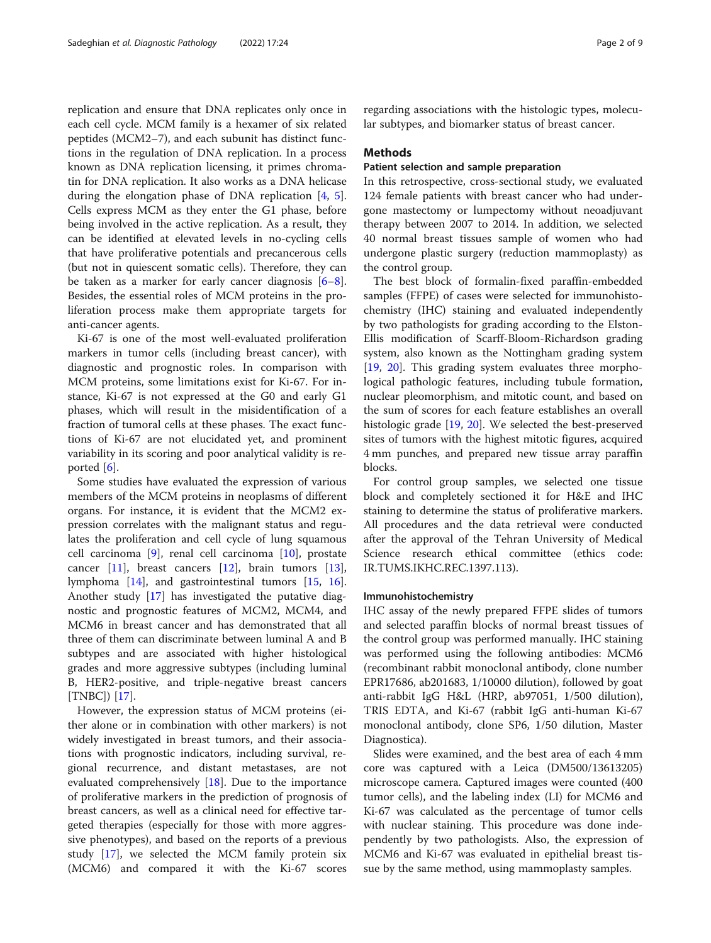replication and ensure that DNA replicates only once in each cell cycle. MCM family is a hexamer of six related peptides (MCM2–7), and each subunit has distinct functions in the regulation of DNA replication. In a process known as DNA replication licensing, it primes chromatin for DNA replication. It also works as a DNA helicase during the elongation phase of DNA replication [[4,](#page-7-0) [5](#page-7-0)]. Cells express MCM as they enter the G1 phase, before being involved in the active replication. As a result, they can be identified at elevated levels in no-cycling cells that have proliferative potentials and precancerous cells (but not in quiescent somatic cells). Therefore, they can be taken as a marker for early cancer diagnosis [\[6](#page-7-0)–[8](#page-7-0)]. Besides, the essential roles of MCM proteins in the proliferation process make them appropriate targets for anti-cancer agents.

Ki-67 is one of the most well-evaluated proliferation markers in tumor cells (including breast cancer), with diagnostic and prognostic roles. In comparison with MCM proteins, some limitations exist for Ki-67. For instance, Ki-67 is not expressed at the G0 and early G1 phases, which will result in the misidentification of a fraction of tumoral cells at these phases. The exact functions of Ki-67 are not elucidated yet, and prominent variability in its scoring and poor analytical validity is reported [[6\]](#page-7-0).

Some studies have evaluated the expression of various members of the MCM proteins in neoplasms of different organs. For instance, it is evident that the MCM2 expression correlates with the malignant status and regulates the proliferation and cell cycle of lung squamous cell carcinoma [[9](#page-7-0)], renal cell carcinoma [\[10](#page-7-0)], prostate cancer [\[11](#page-7-0)], breast cancers [[12](#page-7-0)], brain tumors [\[13](#page-7-0)], lymphoma [\[14\]](#page-7-0), and gastrointestinal tumors [[15](#page-7-0), [16](#page-7-0)]. Another study [[17](#page-7-0)] has investigated the putative diagnostic and prognostic features of MCM2, MCM4, and MCM6 in breast cancer and has demonstrated that all three of them can discriminate between luminal A and B subtypes and are associated with higher histological grades and more aggressive subtypes (including luminal B, HER2-positive, and triple-negative breast cancers [TNBC]) [[17\]](#page-7-0).

However, the expression status of MCM proteins (either alone or in combination with other markers) is not widely investigated in breast tumors, and their associations with prognostic indicators, including survival, regional recurrence, and distant metastases, are not evaluated comprehensively [[18](#page-7-0)]. Due to the importance of proliferative markers in the prediction of prognosis of breast cancers, as well as a clinical need for effective targeted therapies (especially for those with more aggressive phenotypes), and based on the reports of a previous study [[17](#page-7-0)], we selected the MCM family protein six (MCM6) and compared it with the Ki-67 scores

regarding associations with the histologic types, molecular subtypes, and biomarker status of breast cancer.

#### Methods

#### Patient selection and sample preparation

In this retrospective, cross-sectional study, we evaluated 124 female patients with breast cancer who had undergone mastectomy or lumpectomy without neoadjuvant therapy between 2007 to 2014. In addition, we selected 40 normal breast tissues sample of women who had undergone plastic surgery (reduction mammoplasty) as the control group.

The best block of formalin-fixed paraffin-embedded samples (FFPE) of cases were selected for immunohistochemistry (IHC) staining and evaluated independently by two pathologists for grading according to the Elston-Ellis modification of Scarff-Bloom-Richardson grading system, also known as the Nottingham grading system [[19,](#page-7-0) [20](#page-7-0)]. This grading system evaluates three morphological pathologic features, including tubule formation, nuclear pleomorphism, and mitotic count, and based on the sum of scores for each feature establishes an overall histologic grade [\[19,](#page-7-0) [20](#page-7-0)]. We selected the best-preserved sites of tumors with the highest mitotic figures, acquired 4 mm punches, and prepared new tissue array paraffin blocks.

For control group samples, we selected one tissue block and completely sectioned it for H&E and IHC staining to determine the status of proliferative markers. All procedures and the data retrieval were conducted after the approval of the Tehran University of Medical Science research ethical committee (ethics code: IR.TUMS.IKHC.REC.1397.113).

#### Immunohistochemistry

IHC assay of the newly prepared FFPE slides of tumors and selected paraffin blocks of normal breast tissues of the control group was performed manually. IHC staining was performed using the following antibodies: MCM6 (recombinant rabbit monoclonal antibody, clone number EPR17686, ab201683, 1/10000 dilution), followed by goat anti-rabbit IgG H&L (HRP, ab97051, 1/500 dilution), TRIS EDTA, and Ki-67 (rabbit IgG anti-human Ki-67 monoclonal antibody, clone SP6, 1/50 dilution, Master Diagnostica).

Slides were examined, and the best area of each 4 mm core was captured with a Leica (DM500/13613205) microscope camera. Captured images were counted (400 tumor cells), and the labeling index (LI) for MCM6 and Ki-67 was calculated as the percentage of tumor cells with nuclear staining. This procedure was done independently by two pathologists. Also, the expression of MCM6 and Ki-67 was evaluated in epithelial breast tissue by the same method, using mammoplasty samples.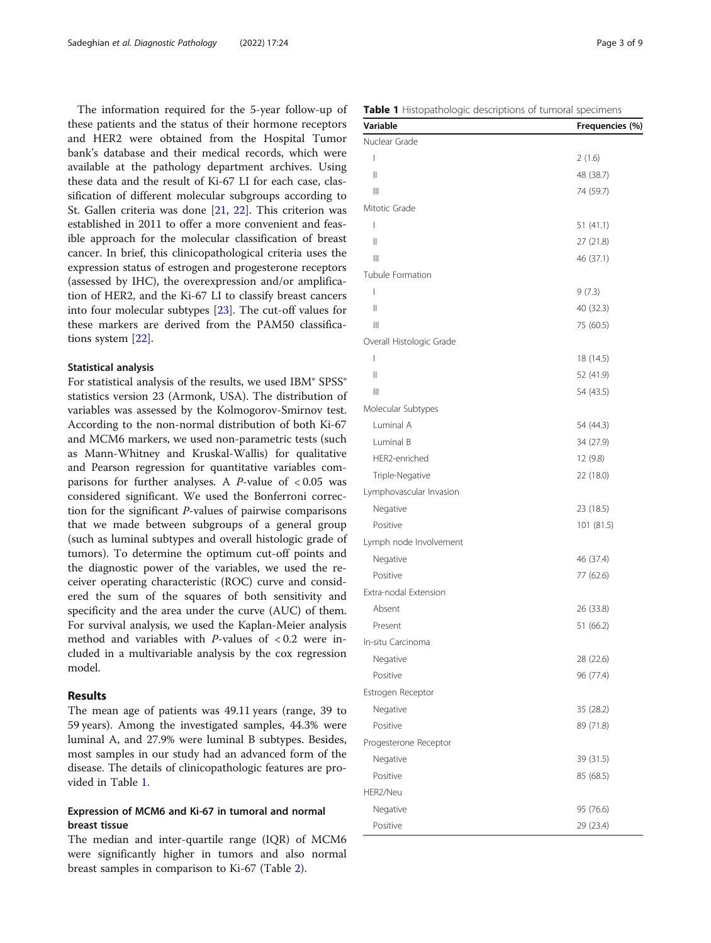The information required for the 5-year follow-up of these patients and the status of their hormone receptors and HER2 were obtained from the Hospital Tumor bank's database and their medical records, which were available at the pathology department archives. Using these data and the result of Ki-67 LI for each case, classification of different molecular subgroups according to St. Gallen criteria was done [[21,](#page-7-0) [22\]](#page-7-0). This criterion was established in 2011 to offer a more convenient and feasible approach for the molecular classification of breast cancer. In brief, this clinicopathological criteria uses the expression status of estrogen and progesterone receptors (assessed by IHC), the overexpression and/or amplification of HER2, and the Ki-67 LI to classify breast cancers into four molecular subtypes [\[23\]](#page-7-0). The cut-off values for these markers are derived from the PAM50 classifications system [\[22](#page-7-0)].

#### Statistical analysis

For statistical analysis of the results, we used IBM® SPSS® statistics version 23 (Armonk, USA). The distribution of variables was assessed by the Kolmogorov-Smirnov test. According to the non-normal distribution of both Ki-67 and MCM6 markers, we used non-parametric tests (such as Mann-Whitney and Kruskal-Wallis) for qualitative and Pearson regression for quantitative variables comparisons for further analyses. A  $P$ -value of  $< 0.05$  was considered significant. We used the Bonferroni correction for the significant P-values of pairwise comparisons that we made between subgroups of a general group (such as luminal subtypes and overall histologic grade of tumors). To determine the optimum cut-off points and the diagnostic power of the variables, we used the receiver operating characteristic (ROC) curve and considered the sum of the squares of both sensitivity and specificity and the area under the curve (AUC) of them. For survival analysis, we used the Kaplan-Meier analysis method and variables with  $P$ -values of < 0.2 were included in a multivariable analysis by the cox regression model.

#### Results

The mean age of patients was 49.11 years (range, 39 to 59 years). Among the investigated samples, 44.3% were luminal A, and 27.9% were luminal B subtypes. Besides, most samples in our study had an advanced form of the disease. The details of clinicopathologic features are provided in Table 1.

#### Expression of MCM6 and Ki-67 in tumoral and normal breast tissue

The median and inter-quartile range (IQR) of MCM6 were significantly higher in tumors and also normal breast samples in comparison to Ki-67 (Table [2\)](#page-3-0).

|  | Table 1 Histopathologic descriptions of tumoral specimens |  |
|--|-----------------------------------------------------------|--|
|  |                                                           |  |

| Variable                 | Frequencies (%) |
|--------------------------|-----------------|
| Nuclear Grade            |                 |
| I                        | 2(1.6)          |
| Ш                        | 48 (38.7)       |
| Ш                        | 74 (59.7)       |
| Mitotic Grade            |                 |
| ı                        | 51 (41.1)       |
| $\mathsf{II}$            | 27 (21.8)       |
| $\mathbb{H}$             | 46 (37.1)       |
| Tubule Formation         |                 |
| T                        | 9(7.3)          |
| $\mathsf{II}$            | 40 (32.3)       |
| Ш                        | 75 (60.5)       |
| Overall Histologic Grade |                 |
| I                        | 18 (14.5)       |
| Ш                        | 52 (41.9)       |
| Ш                        | 54 (43.5)       |
| Molecular Subtypes       |                 |
| Luminal A                | 54 (44.3)       |
| Luminal B                | 34 (27.9)       |
| HER2-enriched            | 12 (9.8)        |
| Triple-Negative          | 22 (18.0)       |
| Lymphovascular Invasion  |                 |
| Negative                 | 23 (18.5)       |
| Positive                 | 101 (81.5)      |
| Lymph node Involvement   |                 |
| Negative                 | 46 (37.4)       |
| Positive                 | 77 (62.6)       |
| Extra-nodal Extension    |                 |
| Absent                   | 26 (33.8)       |
| Present                  | 51 (66.2)       |
| In-situ Carcinoma        |                 |
| Negative                 | 28 (22.6)       |
| Positive                 | 96 (77.4)       |
| Estrogen Receptor        |                 |
| Negative                 | 35 (28.2)       |
| Positive                 | 89 (71.8)       |
| Progesterone Receptor    |                 |
| Negative                 | 39 (31.5)       |
| Positive                 | 85 (68.5)       |
| HER2/Neu                 |                 |
| Negative                 | 95 (76.6)       |
| Positive                 | 29 (23.4)       |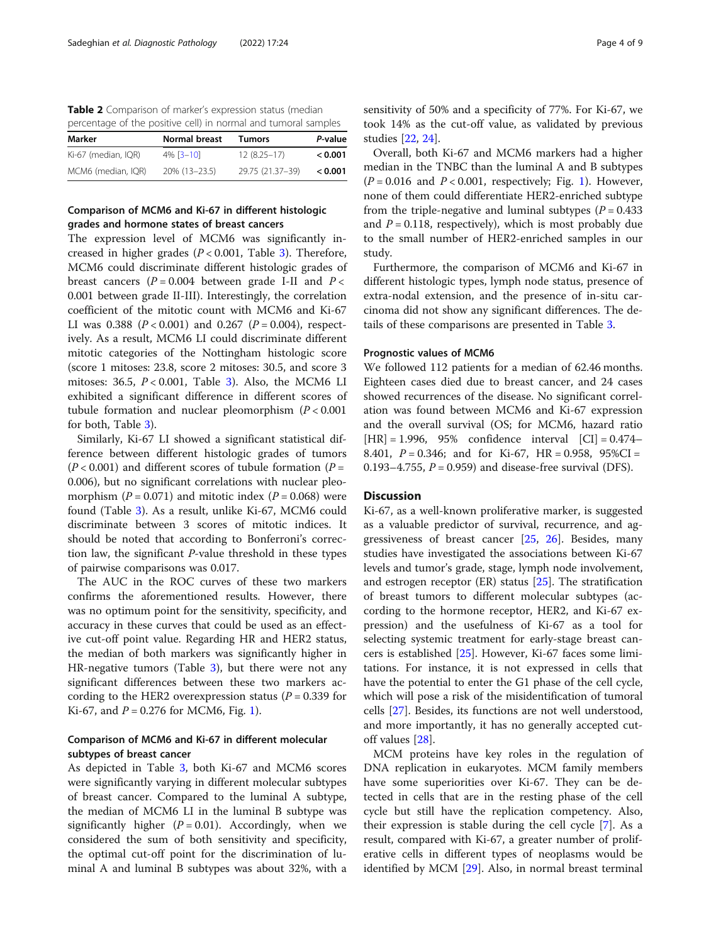<span id="page-3-0"></span>Table 2 Comparison of marker's expression status (median percentage of the positive cell) in normal and tumoral samples

| Marker              | Normal breast    | Tumors           | P-value |
|---------------------|------------------|------------------|---------|
| Ki-67 (median, IQR) | $4\%$ [ $3-10$ ] | $12(8.25 - 17)$  | < 0.001 |
| MCM6 (median, IQR)  | 20% (13-23.5)    | 29.75 (21.37-39) | < 0.001 |

#### Comparison of MCM6 and Ki-67 in different histologic grades and hormone states of breast cancers

The expression level of MCM6 was significantly increased in higher grades ( $P < 0.001$ , Table [3](#page-4-0)). Therefore, MCM6 could discriminate different histologic grades of breast cancers  $(P = 0.004$  between grade I-II and  $P <$ 0.001 between grade II-III). Interestingly, the correlation coefficient of the mitotic count with MCM6 and Ki-67 LI was 0.388 ( $P < 0.001$ ) and 0.267 ( $P = 0.004$ ), respectively. As a result, MCM6 LI could discriminate different mitotic categories of the Nottingham histologic score (score 1 mitoses: 23.8, score 2 mitoses: 30.5, and score 3 mitoses: [3](#page-4-0)6.5,  $P < 0.001$ , Table 3). Also, the MCM6 LI exhibited a significant difference in different scores of tubule formation and nuclear pleomorphism  $(P < 0.001$ for both, Table [3\)](#page-4-0).

Similarly, Ki-67 LI showed a significant statistical difference between different histologic grades of tumors  $(P < 0.001)$  and different scores of tubule formation  $(P = 1.001)$ 0.006), but no significant correlations with nuclear pleomorphism  $(P = 0.071)$  and mitotic index  $(P = 0.068)$  were found (Table [3\)](#page-4-0). As a result, unlike Ki-67, MCM6 could discriminate between 3 scores of mitotic indices. It should be noted that according to Bonferroni's correction law, the significant P-value threshold in these types of pairwise comparisons was 0.017.

The AUC in the ROC curves of these two markers confirms the aforementioned results. However, there was no optimum point for the sensitivity, specificity, and accuracy in these curves that could be used as an effective cut-off point value. Regarding HR and HER2 status, the median of both markers was significantly higher in HR-negative tumors (Table [3](#page-4-0)), but there were not any significant differences between these two markers according to the HER2 overexpression status ( $P = 0.339$  for Ki-67, and  $P = 0.276$  for MCM6, Fig. [1\)](#page-5-0).

#### Comparison of MCM6 and Ki-67 in different molecular subtypes of breast cancer

As depicted in Table [3](#page-4-0), both Ki-67 and MCM6 scores were significantly varying in different molecular subtypes of breast cancer. Compared to the luminal A subtype, the median of MCM6 LI in the luminal B subtype was significantly higher ( $P = 0.01$ ). Accordingly, when we considered the sum of both sensitivity and specificity, the optimal cut-off point for the discrimination of luminal A and luminal B subtypes was about 32%, with a sensitivity of 50% and a specificity of 77%. For Ki-67, we took 14% as the cut-off value, as validated by previous studies [\[22,](#page-7-0) [24\]](#page-7-0).

Overall, both Ki-67 and MCM6 markers had a higher median in the TNBC than the luminal A and B subtypes  $(P = 0.016$  $(P = 0.016$  $(P = 0.016$  and  $P < 0.001$ , respectively; Fig. 1). However, none of them could differentiate HER2-enriched subtype from the triple-negative and luminal subtypes  $(P = 0.433$ and  $P = 0.118$ , respectively), which is most probably due to the small number of HER2-enriched samples in our study.

Furthermore, the comparison of MCM6 and Ki-67 in different histologic types, lymph node status, presence of extra-nodal extension, and the presence of in-situ carcinoma did not show any significant differences. The details of these comparisons are presented in Table [3](#page-4-0).

#### Prognostic values of MCM6

We followed 112 patients for a median of 62.46 months. Eighteen cases died due to breast cancer, and 24 cases showed recurrences of the disease. No significant correlation was found between MCM6 and Ki-67 expression and the overall survival (OS; for MCM6, hazard ratio  $[HR] = 1.996$ , 95% confidence interval  $[CI] = 0.474-$ 8.401,  $P = 0.346$ ; and for Ki-67, HR = 0.958, 95%CI = 0.193–4.755,  $P = 0.959$ ) and disease-free survival (DFS).

#### **Discussion**

Ki-67, as a well-known proliferative marker, is suggested as a valuable predictor of survival, recurrence, and aggressiveness of breast cancer [[25](#page-7-0), [26](#page-7-0)]. Besides, many studies have investigated the associations between Ki-67 levels and tumor's grade, stage, lymph node involvement, and estrogen receptor  $(ER)$  status  $[25]$  $[25]$ . The stratification of breast tumors to different molecular subtypes (according to the hormone receptor, HER2, and Ki-67 expression) and the usefulness of Ki-67 as a tool for selecting systemic treatment for early-stage breast cancers is established [\[25\]](#page-7-0). However, Ki-67 faces some limitations. For instance, it is not expressed in cells that have the potential to enter the G1 phase of the cell cycle, which will pose a risk of the misidentification of tumoral cells [[27\]](#page-8-0). Besides, its functions are not well understood, and more importantly, it has no generally accepted cutoff values [[28](#page-8-0)].

MCM proteins have key roles in the regulation of DNA replication in eukaryotes. MCM family members have some superiorities over Ki-67. They can be detected in cells that are in the resting phase of the cell cycle but still have the replication competency. Also, their expression is stable during the cell cycle [\[7](#page-7-0)]. As a result, compared with Ki-67, a greater number of proliferative cells in different types of neoplasms would be identified by MCM [\[29](#page-8-0)]. Also, in normal breast terminal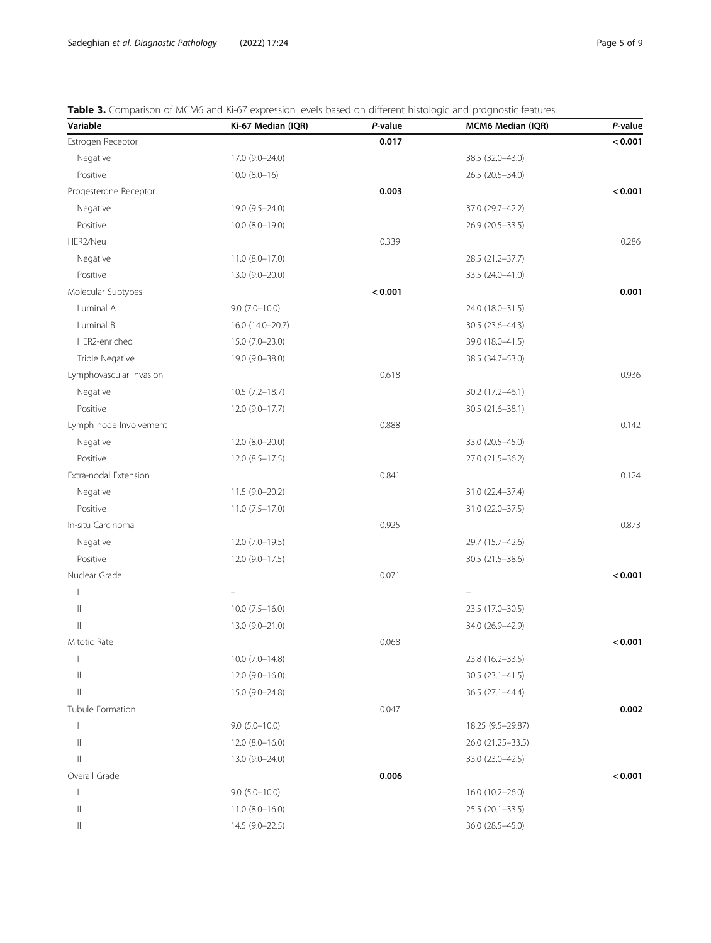<span id="page-4-0"></span>

| <b>Table 3.</b> Comparison of MCM6 and Ki-67 expression levels based on different histologic and prognostic features. |  |  |
|-----------------------------------------------------------------------------------------------------------------------|--|--|
|                                                                                                                       |  |  |

| Variable                                                       | Ki-67 Median (IQR)  | P-value | MCM6 Median (IQR) | P-value |
|----------------------------------------------------------------|---------------------|---------|-------------------|---------|
| Estrogen Receptor                                              |                     | 0.017   |                   | < 0.001 |
| Negative                                                       | 17.0 (9.0-24.0)     |         | 38.5 (32.0-43.0)  |         |
| Positive                                                       | $10.0 (8.0 - 16)$   |         | 26.5 (20.5-34.0)  |         |
| Progesterone Receptor                                          |                     | 0.003   |                   | < 0.001 |
| Negative                                                       | 19.0 (9.5-24.0)     |         | 37.0 (29.7-42.2)  |         |
| Positive                                                       | 10.0 (8.0-19.0)     |         | 26.9 (20.5-33.5)  |         |
| HER2/Neu                                                       |                     | 0.339   |                   | 0.286   |
| Negative                                                       | $11.0 (8.0 - 17.0)$ |         | 28.5 (21.2-37.7)  |         |
| Positive                                                       | 13.0 (9.0-20.0)     |         | 33.5 (24.0-41.0)  |         |
| Molecular Subtypes                                             |                     | < 0.001 |                   | 0.001   |
| Luminal A                                                      | $9.0(7.0-10.0)$     |         | 24.0 (18.0-31.5)  |         |
| Luminal B                                                      | 16.0 (14.0-20.7)    |         | 30.5 (23.6-44.3)  |         |
| HER2-enriched                                                  | 15.0 (7.0-23.0)     |         | 39.0 (18.0-41.5)  |         |
| Triple Negative                                                | 19.0 (9.0-38.0)     |         | 38.5 (34.7–53.0)  |         |
| Lymphovascular Invasion                                        |                     | 0.618   |                   | 0.936   |
| Negative                                                       | $10.5(7.2 - 18.7)$  |         | 30.2 (17.2-46.1)  |         |
| Positive                                                       | $12.0(9.0-17.7)$    |         | 30.5 (21.6-38.1)  |         |
| Lymph node Involvement                                         |                     | 0.888   |                   | 0.142   |
| Negative                                                       | 12.0 (8.0-20.0)     |         | 33.0 (20.5-45.0)  |         |
| Positive                                                       | $12.0(8.5 - 17.5)$  |         | 27.0 (21.5-36.2)  |         |
| Extra-nodal Extension                                          |                     | 0.841   |                   | 0.124   |
| Negative                                                       | $11.5(9.0-20.2)$    |         | 31.0 (22.4-37.4)  |         |
| Positive                                                       | $11.0(7.5-17.0)$    |         | 31.0 (22.0-37.5)  |         |
| In-situ Carcinoma                                              |                     | 0.925   |                   | 0.873   |
| Negative                                                       | 12.0 (7.0-19.5)     |         | 29.7 (15.7-42.6)  |         |
| Positive                                                       | $12.0(9.0-17.5)$    |         | 30.5 (21.5-38.6)  |         |
| Nuclear Grade                                                  |                     | 0.071   |                   | < 0.001 |
|                                                                |                     |         |                   |         |
| $\label{eq:1} \prod_{i=1}^n \alpha_i = \prod_{i=1}^n \alpha_i$ | $10.0$ (7.5-16.0)   |         | 23.5 (17.0-30.5)  |         |
| $\begin{array}{c} \hline \end{array}$                          | 13.0 (9.0-21.0)     |         | 34.0 (26.9-42.9)  |         |
| Mitotic Rate                                                   |                     | 0.068   |                   | < 0.001 |
|                                                                | $10.0 (7.0 - 14.8)$ |         | 23.8 (16.2-33.5)  |         |
| $\begin{array}{c} \hline \end{array}$                          | $12.0(9.0-16.0)$    |         | 30.5 (23.1-41.5)  |         |
| $\ensuremath{\left\vert \right\vert }\xspace$                  | 15.0 (9.0-24.8)     |         | 36.5 (27.1-44.4)  |         |
| Tubule Formation                                               |                     | 0.047   |                   | 0.002   |
|                                                                | $9.0 (5.0 - 10.0)$  |         | 18.25 (9.5-29.87) |         |
| $\begin{array}{c} \hline \end{array}$                          | 12.0 (8.0-16.0)     |         | 26.0 (21.25-33.5) |         |
| $\ensuremath{\left\vert \right\vert }\xspace$                  | 13.0 (9.0-24.0)     |         | 33.0 (23.0-42.5)  |         |
| Overall Grade                                                  |                     | 0.006   |                   | < 0.001 |
|                                                                | $9.0 (5.0 - 10.0)$  |         | 16.0 (10.2-26.0)  |         |
| $\begin{array}{c} \hline \end{array}$                          | $11.0 (8.0 - 16.0)$ |         | 25.5 (20.1-33.5)  |         |
| Ш                                                              | 14.5 (9.0-22.5)     |         | 36.0 (28.5-45.0)  |         |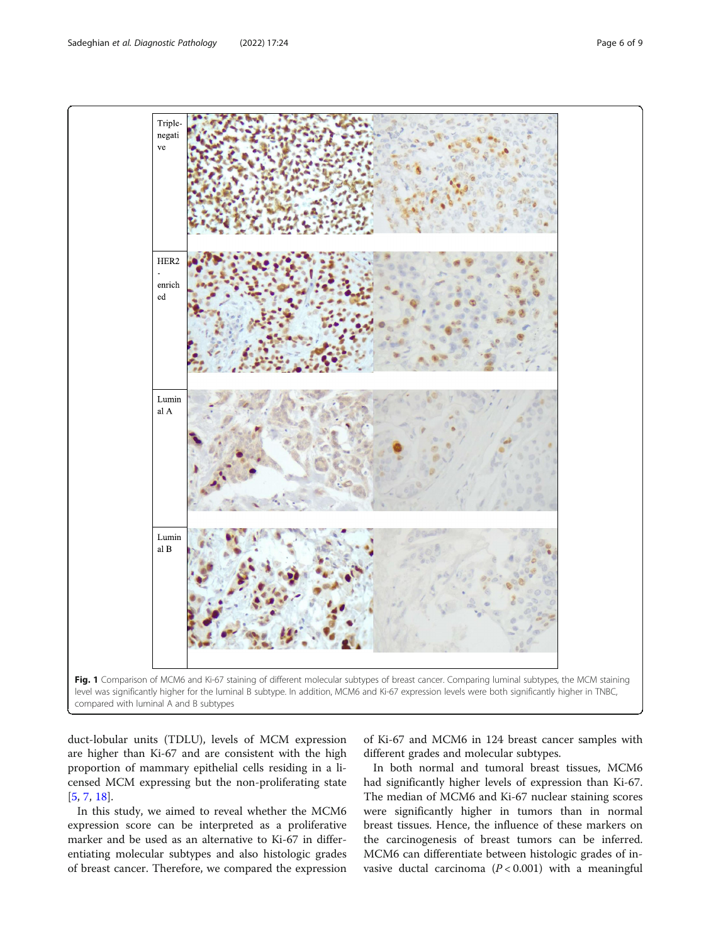<span id="page-5-0"></span>Sadeghian et al. Diagnostic Pathology (2022) 17:24 Page 6 of 9



duct-lobular units (TDLU), levels of MCM expression are higher than Ki-67 and are consistent with the high proportion of mammary epithelial cells residing in a licensed MCM expressing but the non-proliferating state [[5,](#page-7-0) [7,](#page-7-0) [18\]](#page-7-0).

In this study, we aimed to reveal whether the MCM6 expression score can be interpreted as a proliferative marker and be used as an alternative to Ki-67 in differentiating molecular subtypes and also histologic grades of breast cancer. Therefore, we compared the expression

of Ki-67 and MCM6 in 124 breast cancer samples with different grades and molecular subtypes.

In both normal and tumoral breast tissues, MCM6 had significantly higher levels of expression than Ki-67. The median of MCM6 and Ki-67 nuclear staining scores were significantly higher in tumors than in normal breast tissues. Hence, the influence of these markers on the carcinogenesis of breast tumors can be inferred. MCM6 can differentiate between histologic grades of invasive ductal carcinoma  $(P < 0.001)$  with a meaningful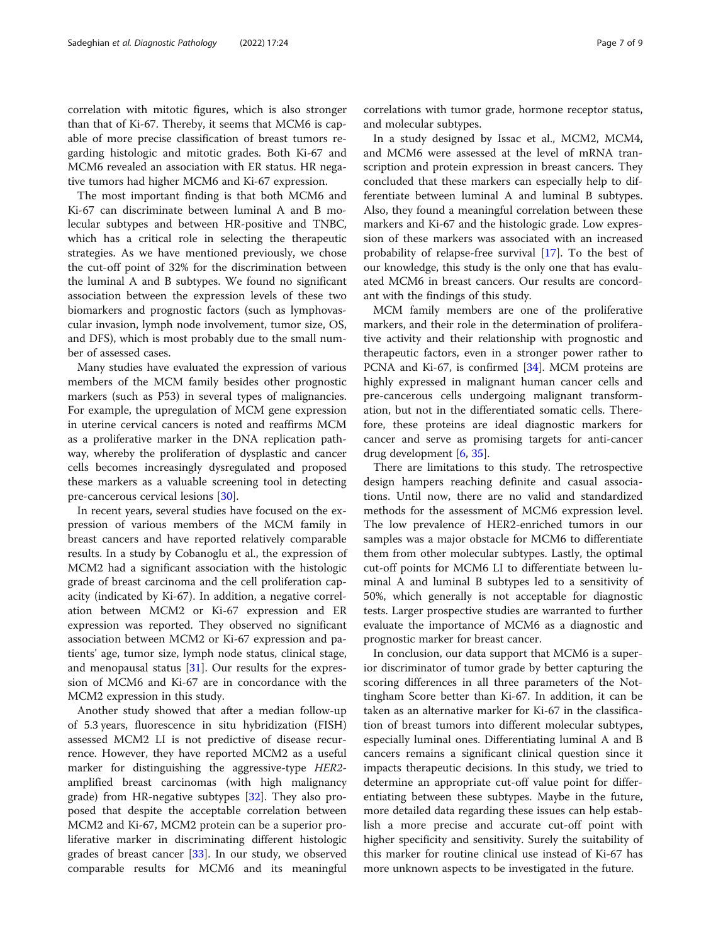correlation with mitotic figures, which is also stronger than that of Ki-67. Thereby, it seems that MCM6 is capable of more precise classification of breast tumors regarding histologic and mitotic grades. Both Ki-67 and MCM6 revealed an association with ER status. HR negative tumors had higher MCM6 and Ki-67 expression.

The most important finding is that both MCM6 and Ki-67 can discriminate between luminal A and B molecular subtypes and between HR-positive and TNBC, which has a critical role in selecting the therapeutic strategies. As we have mentioned previously, we chose the cut-off point of 32% for the discrimination between the luminal A and B subtypes. We found no significant association between the expression levels of these two biomarkers and prognostic factors (such as lymphovascular invasion, lymph node involvement, tumor size, OS, and DFS), which is most probably due to the small number of assessed cases.

Many studies have evaluated the expression of various members of the MCM family besides other prognostic markers (such as P53) in several types of malignancies. For example, the upregulation of MCM gene expression in uterine cervical cancers is noted and reaffirms MCM as a proliferative marker in the DNA replication pathway, whereby the proliferation of dysplastic and cancer cells becomes increasingly dysregulated and proposed these markers as a valuable screening tool in detecting pre-cancerous cervical lesions [[30\]](#page-8-0).

In recent years, several studies have focused on the expression of various members of the MCM family in breast cancers and have reported relatively comparable results. In a study by Cobanoglu et al., the expression of MCM2 had a significant association with the histologic grade of breast carcinoma and the cell proliferation capacity (indicated by Ki-67). In addition, a negative correlation between MCM2 or Ki-67 expression and ER expression was reported. They observed no significant association between MCM2 or Ki-67 expression and patients' age, tumor size, lymph node status, clinical stage, and menopausal status [[31](#page-8-0)]. Our results for the expression of MCM6 and Ki-67 are in concordance with the MCM2 expression in this study.

Another study showed that after a median follow-up of 5.3 years, fluorescence in situ hybridization (FISH) assessed MCM2 LI is not predictive of disease recurrence. However, they have reported MCM2 as a useful marker for distinguishing the aggressive-type HER2 amplified breast carcinomas (with high malignancy grade) from HR-negative subtypes [\[32](#page-8-0)]. They also proposed that despite the acceptable correlation between MCM2 and Ki-67, MCM2 protein can be a superior proliferative marker in discriminating different histologic grades of breast cancer [\[33\]](#page-8-0). In our study, we observed comparable results for MCM6 and its meaningful

correlations with tumor grade, hormone receptor status, and molecular subtypes.

In a study designed by Issac et al., MCM2, MCM4, and MCM6 were assessed at the level of mRNA transcription and protein expression in breast cancers. They concluded that these markers can especially help to differentiate between luminal A and luminal B subtypes. Also, they found a meaningful correlation between these markers and Ki-67 and the histologic grade. Low expression of these markers was associated with an increased probability of relapse-free survival [\[17](#page-7-0)]. To the best of our knowledge, this study is the only one that has evaluated MCM6 in breast cancers. Our results are concordant with the findings of this study.

MCM family members are one of the proliferative markers, and their role in the determination of proliferative activity and their relationship with prognostic and therapeutic factors, even in a stronger power rather to PCNA and Ki-67, is confirmed [\[34](#page-8-0)]. MCM proteins are highly expressed in malignant human cancer cells and pre-cancerous cells undergoing malignant transformation, but not in the differentiated somatic cells. Therefore, these proteins are ideal diagnostic markers for cancer and serve as promising targets for anti-cancer drug development [\[6](#page-7-0), [35](#page-8-0)].

There are limitations to this study. The retrospective design hampers reaching definite and casual associations. Until now, there are no valid and standardized methods for the assessment of MCM6 expression level. The low prevalence of HER2-enriched tumors in our samples was a major obstacle for MCM6 to differentiate them from other molecular subtypes. Lastly, the optimal cut-off points for MCM6 LI to differentiate between luminal A and luminal B subtypes led to a sensitivity of 50%, which generally is not acceptable for diagnostic tests. Larger prospective studies are warranted to further evaluate the importance of MCM6 as a diagnostic and prognostic marker for breast cancer.

In conclusion, our data support that MCM6 is a superior discriminator of tumor grade by better capturing the scoring differences in all three parameters of the Nottingham Score better than Ki-67. In addition, it can be taken as an alternative marker for Ki-67 in the classification of breast tumors into different molecular subtypes, especially luminal ones. Differentiating luminal A and B cancers remains a significant clinical question since it impacts therapeutic decisions. In this study, we tried to determine an appropriate cut-off value point for differentiating between these subtypes. Maybe in the future, more detailed data regarding these issues can help establish a more precise and accurate cut-off point with higher specificity and sensitivity. Surely the suitability of this marker for routine clinical use instead of Ki-67 has more unknown aspects to be investigated in the future.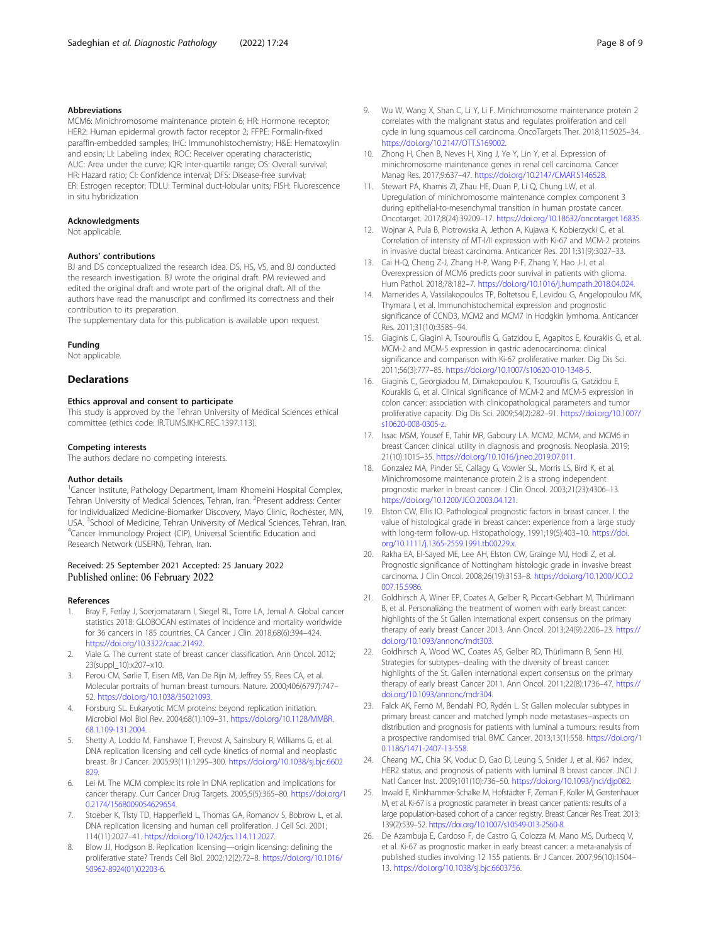#### <span id="page-7-0"></span>Abbreviations

MCM6: Minichromosome maintenance protein 6; HR: Hormone receptor; HER2: Human epidermal growth factor receptor 2; FFPE: Formalin-fixed paraffin-embedded samples; IHC: Immunohistochemistry; H&E: Hematoxylin and eosin; LI: Labeling index; ROC: Receiver operating characteristic; AUC: Area under the curve; IQR: Inter-quartile range; OS: Overall survival; HR: Hazard ratio; CI: Confidence interval; DFS: Disease-free survival; ER: Estrogen receptor; TDLU: Terminal duct-lobular units; FISH: Fluorescence in situ hybridization

#### Acknowledgments

Not applicable.

#### Authors' contributions

BJ and DS conceptualized the research idea. DS, HS, VS, and BJ conducted the research investigation. BJ wrote the original draft. PM reviewed and edited the original draft and wrote part of the original draft. All of the authors have read the manuscript and confirmed its correctness and their contribution to its preparation.

The supplementary data for this publication is available upon request.

#### Funding

Not applicable.

#### **Declarations**

#### Ethics approval and consent to participate

This study is approved by the Tehran University of Medical Sciences ethical committee (ethics code: IR.TUMS.IKHC.REC.1397.113).

#### Competing interests

The authors declare no competing interests.

#### Author details

<sup>1</sup> Cancer Institute, Pathology Department, Imam Khomeini Hospital Complex, Tehran University of Medical Sciences, Tehran, Iran. <sup>2</sup>Present address: Center for Individualized Medicine-Biomarker Discovery, Mayo Clinic, Rochester, MN, USA. <sup>3</sup>School of Medicine, Tehran University of Medical Sciences, Tehran, Iran.<br><sup>4</sup>Cancer Immunology Project (CIP), Universal Scientific Education and <sup>4</sup> Cancer Immunology Project (CIP), Universal Scientific Education and Research Network (USERN), Tehran, Iran.

#### Received: 25 September 2021 Accepted: 25 January 2022 Published online: 06 February 2022

#### References

- 1. Bray F, Ferlay J, Soerjomataram I, Siegel RL, Torre LA, Jemal A. Global cancer statistics 2018: GLOBOCAN estimates of incidence and mortality worldwide for 36 cancers in 185 countries. CA Cancer J Clin. 2018;68(6):394–424. [https://doi.org/10.3322/caac.21492.](https://doi.org/10.3322/caac.21492)
- 2. Viale G. The current state of breast cancer classification. Ann Oncol. 2012; 23(suppl\_10):x207–x10.
- Perou CM, Sørlie T, Eisen MB, Van De Rijn M, Jeffrey SS, Rees CA, et al. Molecular portraits of human breast tumours. Nature. 2000;406(6797):747– 52. <https://doi.org/10.1038/35021093>.
- 4. Forsburg SL. Eukaryotic MCM proteins: beyond replication initiation. Microbiol Mol Biol Rev. 2004;68(1):109–31. [https://doi.org/10.1128/MMBR.](https://doi.org/10.1128/MMBR.68.1.109-131.2004) [68.1.109-131.2004.](https://doi.org/10.1128/MMBR.68.1.109-131.2004)
- 5. Shetty A, Loddo M, Fanshawe T, Prevost A, Sainsbury R, Williams G, et al. DNA replication licensing and cell cycle kinetics of normal and neoplastic breast. Br J Cancer. 2005;93(11):1295–300. [https://doi.org/10.1038/sj.bjc.6602](https://doi.org/10.1038/sj.bjc.6602829) [829.](https://doi.org/10.1038/sj.bjc.6602829)
- 6. Lei M. The MCM complex: its role in DNA replication and implications for cancer therapy. Curr Cancer Drug Targets. 2005;5(5):365–80. [https://doi.org/1](https://doi.org/10.2174/1568009054629654) [0.2174/1568009054629654](https://doi.org/10.2174/1568009054629654).
- Stoeber K, Tlsty TD, Happerfield L, Thomas GA, Romanov S, Bobrow L, et al. DNA replication licensing and human cell proliferation. J Cell Sci. 2001; 114(11):2027–41. [https://doi.org/10.1242/jcs.114.11.2027.](https://doi.org/10.1242/jcs.114.11.2027)
- 8. Blow JJ, Hodgson B. Replication licensing—origin licensing: defining the proliferative state? Trends Cell Biol. 2002;12(2):72–8. [https://doi.org/10.1016/](https://doi.org/10.1016/S0962-8924(01)02203-6) [S0962-8924\(01\)02203-6](https://doi.org/10.1016/S0962-8924(01)02203-6).
- 9. Wu W, Wang X, Shan C, Li Y, Li F. Minichromosome maintenance protein 2 correlates with the malignant status and regulates proliferation and cell cycle in lung squamous cell carcinoma. OncoTargets Ther. 2018;11:5025–34. <https://doi.org/10.2147/OTT.S169002>.
- 10. Zhong H, Chen B, Neves H, Xing J, Ye Y, Lin Y, et al. Expression of minichromosome maintenance genes in renal cell carcinoma. Cancer Manag Res. 2017;9:637–47. <https://doi.org/10.2147/CMAR.S146528>.
- 11. Stewart PA, Khamis ZI, Zhau HE, Duan P, Li Q, Chung LW, et al. Upregulation of minichromosome maintenance complex component 3 during epithelial-to-mesenchymal transition in human prostate cancer. Oncotarget. 2017;8(24):39209–17. <https://doi.org/10.18632/oncotarget.16835>.
- 12. Wojnar A, Pula B, Piotrowska A, Jethon A, Kujawa K, Kobierzycki C, et al. Correlation of intensity of MT-I/II expression with Ki-67 and MCM-2 proteins in invasive ductal breast carcinoma. Anticancer Res. 2011;31(9):3027–33.
- 13. Cai H-Q, Cheng Z-J, Zhang H-P, Wang P-F, Zhang Y, Hao J-J, et al. Overexpression of MCM6 predicts poor survival in patients with glioma. Hum Pathol. 2018;78:182–7. [https://doi.org/10.1016/j.humpath.2018.04.024.](https://doi.org/10.1016/j.humpath.2018.04.024)
- 14. Marnerides A, Vassilakopoulos TP, Boltetsou E, Levidou G, Angelopoulou MK, Thymara I, et al. Immunohistochemical expression and prognostic significance of CCND3, MCM2 and MCM7 in Hodgkin lymhoma. Anticancer Res. 2011;31(10):3585–94.
- 15. Giaginis C, Giagini A, Tsourouflis G, Gatzidou E, Agapitos E, Kouraklis G, et al. MCM-2 and MCM-5 expression in gastric adenocarcinoma: clinical significance and comparison with Ki-67 proliferative marker. Dig Dis Sci. 2011;56(3):777–85. <https://doi.org/10.1007/s10620-010-1348-5>.
- 16. Giaginis C, Georgiadou M, Dimakopoulou K, Tsourouflis G, Gatzidou E, Kouraklis G, et al. Clinical significance of MCM-2 and MCM-5 expression in colon cancer: association with clinicopathological parameters and tumor proliferative capacity. Dig Dis Sci. 2009;54(2):282–91. [https://doi.org/10.1007/](https://doi.org/10.1007/s10620-008-0305-z) [s10620-008-0305-z](https://doi.org/10.1007/s10620-008-0305-z).
- 17. Issac MSM, Yousef E, Tahir MR, Gaboury LA. MCM2, MCM4, and MCM6 in breast Cancer: clinical utility in diagnosis and prognosis. Neoplasia. 2019; 21(10):1015–35. [https://doi.org/10.1016/j.neo.2019.07.011.](https://doi.org/10.1016/j.neo.2019.07.011)
- 18. Gonzalez MA, Pinder SE, Callagy G, Vowler SL, Morris LS, Bird K, et al. Minichromosome maintenance protein 2 is a strong independent prognostic marker in breast cancer. J Clin Oncol. 2003;21(23):4306–13. <https://doi.org/10.1200/JCO.2003.04.121>.
- 19. Elston CW, Ellis IO. Pathological prognostic factors in breast cancer. I. the value of histological grade in breast cancer: experience from a large study with long-term follow-up. Histopathology. 1991;19(5):403–10. [https://doi.](https://doi.org/10.1111/j.1365-2559.1991.tb00229.x) [org/10.1111/j.1365-2559.1991.tb00229.x](https://doi.org/10.1111/j.1365-2559.1991.tb00229.x).
- 20. Rakha EA, El-Sayed ME, Lee AH, Elston CW, Grainge MJ, Hodi Z, et al. Prognostic significance of Nottingham histologic grade in invasive breast carcinoma. J Clin Oncol. 2008;26(19):3153–8. [https://doi.org/10.1200/JCO.2](https://doi.org/10.1200/JCO.2007.15.5986) [007.15.5986.](https://doi.org/10.1200/JCO.2007.15.5986)
- 21. Goldhirsch A, Winer EP, Coates A, Gelber R, Piccart-Gebhart M, Thürlimann B, et al. Personalizing the treatment of women with early breast cancer: highlights of the St Gallen international expert consensus on the primary therapy of early breast Cancer 2013. Ann Oncol. 2013;24(9):2206–23. [https://](https://doi.org/10.1093/annonc/mdt303) [doi.org/10.1093/annonc/mdt303](https://doi.org/10.1093/annonc/mdt303).
- 22. Goldhirsch A, Wood WC, Coates AS, Gelber RD, Thürlimann B, Senn HJ. Strategies for subtypes--dealing with the diversity of breast cancer: highlights of the St. Gallen international expert consensus on the primary therapy of early breast Cancer 2011. Ann Oncol. 2011;22(8):1736–47. [https://](https://doi.org/10.1093/annonc/mdr304) [doi.org/10.1093/annonc/mdr304](https://doi.org/10.1093/annonc/mdr304).
- 23. Falck AK, Fernö M, Bendahl PO, Rydén L. St Gallen molecular subtypes in primary breast cancer and matched lymph node metastases--aspects on distribution and prognosis for patients with luminal a tumours: results from a prospective randomised trial. BMC Cancer. 2013;13(1):558. [https://doi.org/1](https://doi.org/10.1186/1471-2407-13-558) [0.1186/1471-2407-13-558](https://doi.org/10.1186/1471-2407-13-558).
- 24. Cheang MC, Chia SK, Voduc D, Gao D, Leung S, Snider J, et al. Ki67 index, HER2 status, and prognosis of patients with luminal B breast cancer. JNCI J Natl Cancer Inst. 2009;101(10):736–50. [https://doi.org/10.1093/jnci/djp082.](https://doi.org/10.1093/jnci/djp082)
- 25. Inwald E, Klinkhammer-Schalke M, Hofstädter F, Zeman F, Koller M, Gerstenhauer M, et al. Ki-67 is a prognostic parameter in breast cancer patients: results of a large population-based cohort of a cancer registry. Breast Cancer Res Treat. 2013; 139(2):539–52. [https://doi.org/10.1007/s10549-013-2560-8.](https://doi.org/10.1007/s10549-013-2560-8)
- 26. De Azambuja E, Cardoso F, de Castro G, Colozza M, Mano MS, Durbecq V, et al. Ki-67 as prognostic marker in early breast cancer: a meta-analysis of published studies involving 12 155 patients. Br J Cancer. 2007;96(10):1504– 13. [https://doi.org/10.1038/sj.bjc.6603756.](https://doi.org/10.1038/sj.bjc.6603756)